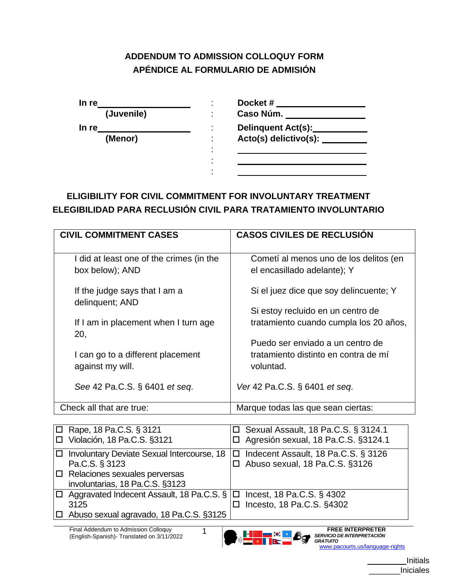## **ADDENDUM TO ADMISSION COLLOQUY FORM APÉNDICE AL FORMULARIO DE ADMISIÓN**

| In re |            |    | Docket#                   |
|-------|------------|----|---------------------------|
|       | (Juvenile) | ۰. | Caso Núm.                 |
| In re |            | ۰  | <b>Delinquent Act(s):</b> |
|       | (Menor)    | ۰  | Acto(s) delictivo(s):     |
|       |            | ٠  |                           |
|       |            | ٠  |                           |
|       |            | ٠  |                           |

## **ELIGIBILITY FOR CIVIL COMMITMENT FOR INVOLUNTARY TREATMENT ELEGIBILIDAD PARA RECLUSIÓN CIVIL PARA TRATAMIENTO INVOLUNTARIO**

| <b>CIVIL COMMITMENT CASES</b>                               | <b>CASOS CIVILES DE RECLUSIÓN</b>                                     |
|-------------------------------------------------------------|-----------------------------------------------------------------------|
| I did at least one of the crimes (in the<br>box below); AND | Cometí al menos uno de los delitos (en<br>el encasillado adelante); Y |
| If the judge says that I am a<br>delinquent; AND            | Si el juez dice que soy delincuente; Y                                |
|                                                             | Si estoy recluido en un centro de                                     |
| If I am in placement when I turn age<br>20,                 | tratamiento cuando cumpla los 20 años,                                |
|                                                             | Puedo ser enviado a un centro de                                      |
| I can go to a different placement<br>against my will.       | tratamiento distinto en contra de mí<br>voluntad.                     |
| See 42 Pa.C.S. § 6401 et seq.                               | Ver 42 Pa.C.S. § 6401 et seq.                                         |
| Check all that are true:                                    | Marque todas las que sean ciertas:                                    |

| $\Box$ Rape, 18 Pa.C.S. § 3121<br>□ Violación, 18 Pa.C.S. §3121                                                                             | $\Box$ Sexual Assault, 18 Pa.C.S. § 3124.1<br>□ Agresión sexual, 18 Pa.C.S. §3124.1 |
|---------------------------------------------------------------------------------------------------------------------------------------------|-------------------------------------------------------------------------------------|
| □ Involuntary Deviate Sexual Intercourse, 18<br>Pa.C.S. § 3123<br>$ \Box$ Relaciones sexuales perversas<br>involuntarias, 18 Pa.C.S. §3123  | $\Box$ Indecent Assault, 18 Pa.C.S. § 3126<br>□ Abuso sexual, 18 Pa.C.S. §3126      |
| $\Box$ Aggravated Indecent Assault, 18 Pa.C.S. § $\Box$ Incest, 18 Pa.C.S. § 4302<br>3125<br>$\Box$ Abuso sexual agravado, 18 Pa.C.S. §3125 | Incesto, 18 Pa.C.S. §4302                                                           |

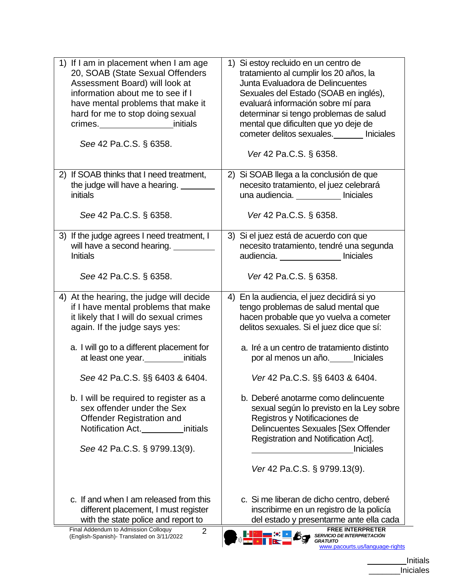| If I am in placement when I am age<br>1)<br>20, SOAB (State Sexual Offenders<br>Assessment Board) will look at<br>information about me to see if I<br>have mental problems that make it<br>hard for me to stop doing sexual<br>crimes._____________________initials<br>See 42 Pa.C.S. § 6358.                                                                                                                                                  | Si estoy recluido en un centro de<br>$\left( \begin{matrix} 1 \end{matrix} \right)$<br>tratamiento al cumplir los 20 años, la<br>Junta Evaluadora de Delincuentes<br>Sexuales del Estado (SOAB en inglés),<br>evaluará información sobre mí para<br>determinar si tengo problemas de salud<br>mental que dificulten que yo deje de<br>cometer delitos sexuales. Iniciales<br>Ver 42 Pa.C.S. § 6358.                                                                                                                                                     |
|------------------------------------------------------------------------------------------------------------------------------------------------------------------------------------------------------------------------------------------------------------------------------------------------------------------------------------------------------------------------------------------------------------------------------------------------|---------------------------------------------------------------------------------------------------------------------------------------------------------------------------------------------------------------------------------------------------------------------------------------------------------------------------------------------------------------------------------------------------------------------------------------------------------------------------------------------------------------------------------------------------------|
| 2) If SOAB thinks that I need treatment,                                                                                                                                                                                                                                                                                                                                                                                                       | 2) Si SOAB llega a la conclusión de que                                                                                                                                                                                                                                                                                                                                                                                                                                                                                                                 |
| the judge will have a hearing.                                                                                                                                                                                                                                                                                                                                                                                                                 | necesito tratamiento, el juez celebrará                                                                                                                                                                                                                                                                                                                                                                                                                                                                                                                 |
| initials                                                                                                                                                                                                                                                                                                                                                                                                                                       | una audiencia. ___________ Iniciales                                                                                                                                                                                                                                                                                                                                                                                                                                                                                                                    |
| See 42 Pa.C.S. § 6358.                                                                                                                                                                                                                                                                                                                                                                                                                         | Ver 42 Pa.C.S. § 6358.                                                                                                                                                                                                                                                                                                                                                                                                                                                                                                                                  |
| 3) If the judge agrees I need treatment, I                                                                                                                                                                                                                                                                                                                                                                                                     | 3) Si el juez está de acuerdo con que                                                                                                                                                                                                                                                                                                                                                                                                                                                                                                                   |
|                                                                                                                                                                                                                                                                                                                                                                                                                                                | necesito tratamiento, tendré una segunda                                                                                                                                                                                                                                                                                                                                                                                                                                                                                                                |
| <b>Initials</b>                                                                                                                                                                                                                                                                                                                                                                                                                                | audiencia. _______________ Iniciales                                                                                                                                                                                                                                                                                                                                                                                                                                                                                                                    |
| See 42 Pa.C.S. § 6358.                                                                                                                                                                                                                                                                                                                                                                                                                         | Ver 42 Pa.C.S. § 6358.                                                                                                                                                                                                                                                                                                                                                                                                                                                                                                                                  |
| 4) At the hearing, the judge will decide<br>if I have mental problems that make<br>it likely that I will do sexual crimes<br>again. If the judge says yes:<br>a. I will go to a different placement for<br>at least one year. initials<br>See 42 Pa.C.S. §§ 6403 & 6404.<br>b. I will be required to register as a<br>sex offender under the Sex<br>Offender Registration and<br>Notification Act.<br>initials<br>See 42 Pa.C.S. § 9799.13(9). | 4) En la audiencia, el juez decidirá si yo<br>tengo problemas de salud mental que<br>hacen probable que yo vuelva a cometer<br>delitos sexuales. Si el juez dice que sí:<br>a. Iré a un centro de tratamiento distinto<br>por al menos un año. Iniciales<br>Ver 42 Pa.C.S. §§ 6403 & 6404.<br>b. Deberé anotarme como delincuente<br>sexual según lo previsto en la Ley sobre<br>Registros y Notificaciones de<br><b>Delincuentes Sexuales [Sex Offender</b><br>Registration and Notification Act].<br><b>Iniciales</b><br>Ver 42 Pa.C.S. § 9799.13(9). |
| c. If and when I am released from this                                                                                                                                                                                                                                                                                                                                                                                                         | c. Si me liberan de dicho centro, deberé                                                                                                                                                                                                                                                                                                                                                                                                                                                                                                                |
| different placement, I must register                                                                                                                                                                                                                                                                                                                                                                                                           | inscribirme en un registro de la policía                                                                                                                                                                                                                                                                                                                                                                                                                                                                                                                |
| with the state police and report to                                                                                                                                                                                                                                                                                                                                                                                                            | del estado y presentarme ante ella cada                                                                                                                                                                                                                                                                                                                                                                                                                                                                                                                 |
| Final Addendum to Admission Colloquy                                                                                                                                                                                                                                                                                                                                                                                                           | <b>FREE INTERPRETER</b>                                                                                                                                                                                                                                                                                                                                                                                                                                                                                                                                 |
| $\overline{2}$                                                                                                                                                                                                                                                                                                                                                                                                                                 | <i>SERVICIO DE INTERPRETACIÓN</i>                                                                                                                                                                                                                                                                                                                                                                                                                                                                                                                       |
| (English-Spanish)- Translated on 3/11/2022                                                                                                                                                                                                                                                                                                                                                                                                     | <b>GRATUITO</b>                                                                                                                                                                                                                                                                                                                                                                                                                                                                                                                                         |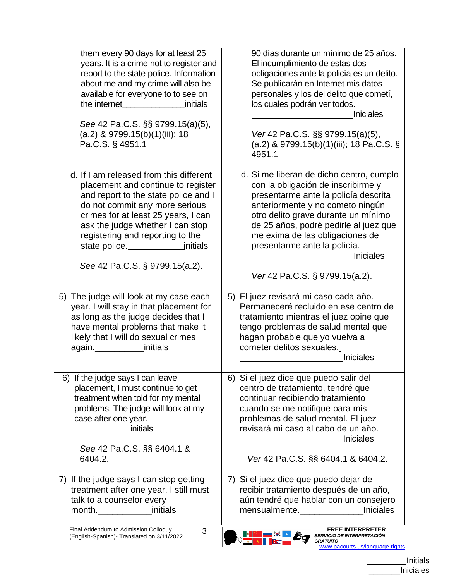| them every 90 days for at least 25                                                                                                                                                                                                                                                                                                     | 90 días durante un mínimo de 25 años.                                                                                                                                                                                                                                                                                                                               |
|----------------------------------------------------------------------------------------------------------------------------------------------------------------------------------------------------------------------------------------------------------------------------------------------------------------------------------------|---------------------------------------------------------------------------------------------------------------------------------------------------------------------------------------------------------------------------------------------------------------------------------------------------------------------------------------------------------------------|
| years. It is a crime not to register and                                                                                                                                                                                                                                                                                               | El incumplimiento de estas dos                                                                                                                                                                                                                                                                                                                                      |
| report to the state police. Information                                                                                                                                                                                                                                                                                                | obligaciones ante la policía es un delito.                                                                                                                                                                                                                                                                                                                          |
| about me and my crime will also be                                                                                                                                                                                                                                                                                                     | Se publicarán en Internet mis datos                                                                                                                                                                                                                                                                                                                                 |
| available for everyone to to see on                                                                                                                                                                                                                                                                                                    | personales y los del delito que cometí,                                                                                                                                                                                                                                                                                                                             |
| the internet the state of the state of the state of the state of the state of the state of the state of the state of the state of the state of the state of the state of the state of the state of the state of the state of t                                                                                                         | los cuales podrán ver todos.                                                                                                                                                                                                                                                                                                                                        |
| initials                                                                                                                                                                                                                                                                                                                               | <b>Iniciales</b>                                                                                                                                                                                                                                                                                                                                                    |
| See 42 Pa.C.S. §§ 9799.15(a)(5),                                                                                                                                                                                                                                                                                                       | Ver 42 Pa.C.S. §§ 9799.15(a)(5),                                                                                                                                                                                                                                                                                                                                    |
| $(a.2)$ & 9799.15(b)(1)(iii); 18                                                                                                                                                                                                                                                                                                       | $(a.2)$ & 9799.15(b)(1)(iii); 18 Pa.C.S. §                                                                                                                                                                                                                                                                                                                          |
| Pa.C.S. § 4951.1                                                                                                                                                                                                                                                                                                                       | 4951.1                                                                                                                                                                                                                                                                                                                                                              |
| d. If I am released from this different<br>placement and continue to register<br>and report to the state police and I<br>do not commit any more serious<br>crimes for at least 25 years, I can<br>ask the judge whether I can stop<br>registering and reporting to the<br>state police. The initials<br>See 42 Pa.C.S. § 9799.15(a.2). | d. Si me liberan de dicho centro, cumplo<br>con la obligación de inscribirme y<br>presentarme ante la policía descrita<br>anteriormente y no cometo ningún<br>otro delito grave durante un mínimo<br>de 25 años, podré pedirle al juez que<br>me exima de las obligaciones de<br>presentarme ante la policía.<br><b>Iniciales</b><br>Ver 42 Pa.C.S. § 9799.15(a.2). |
| The judge will look at my case each                                                                                                                                                                                                                                                                                                    | 5) El juez revisará mi caso cada año.                                                                                                                                                                                                                                                                                                                               |
| 5)                                                                                                                                                                                                                                                                                                                                     | Permaneceré recluido en ese centro de                                                                                                                                                                                                                                                                                                                               |
| year. I will stay in that placement for                                                                                                                                                                                                                                                                                                | tratamiento mientras el juez opine que                                                                                                                                                                                                                                                                                                                              |
| as long as the judge decides that I                                                                                                                                                                                                                                                                                                    | tengo problemas de salud mental que                                                                                                                                                                                                                                                                                                                                 |
| have mental problems that make it                                                                                                                                                                                                                                                                                                      | hagan probable que yo vuelva a                                                                                                                                                                                                                                                                                                                                      |
| likely that I will do sexual crimes                                                                                                                                                                                                                                                                                                    | cometer delitos sexuales.                                                                                                                                                                                                                                                                                                                                           |
| again.<br><u>_________</u> __________initials                                                                                                                                                                                                                                                                                          | <b>Iniciales</b>                                                                                                                                                                                                                                                                                                                                                    |
| 6) If the judge says I can leave                                                                                                                                                                                                                                                                                                       | 6) Si el juez dice que puedo salir del                                                                                                                                                                                                                                                                                                                              |
| placement, I must continue to get                                                                                                                                                                                                                                                                                                      | centro de tratamiento, tendré que                                                                                                                                                                                                                                                                                                                                   |
| treatment when told for my mental                                                                                                                                                                                                                                                                                                      | continuar recibiendo tratamiento                                                                                                                                                                                                                                                                                                                                    |
| problems. The judge will look at my                                                                                                                                                                                                                                                                                                    | cuando se me notifique para mis                                                                                                                                                                                                                                                                                                                                     |
| case after one year.                                                                                                                                                                                                                                                                                                                   | problemas de salud mental. El juez                                                                                                                                                                                                                                                                                                                                  |
| initials                                                                                                                                                                                                                                                                                                                               | revisará mi caso al cabo de un año.                                                                                                                                                                                                                                                                                                                                 |
| See 42 Pa.C.S. §§ 6404.1 &                                                                                                                                                                                                                                                                                                             | <b>Iniciales</b>                                                                                                                                                                                                                                                                                                                                                    |
| 6404.2.                                                                                                                                                                                                                                                                                                                                | Ver 42 Pa.C.S. §§ 6404.1 & 6404.2.                                                                                                                                                                                                                                                                                                                                  |
| 7) If the judge says I can stop getting<br>treatment after one year, I still must<br>talk to a counselor every<br>initials<br>Final Addendum to Admission Colloquy                                                                                                                                                                     | 7) Si el juez dice que puedo dejar de<br>recibir tratamiento después de un año,<br>aún tendré que hablar con un consejero<br>mensualmente.<br><b>Iniciales</b>                                                                                                                                                                                                      |
| 3<br>(English-Spanish)- Translated on 3/11/2022                                                                                                                                                                                                                                                                                        | <b>FREE INTERPRETER</b><br>SERVICIO DE INTERPRETACIÓN<br>GRATUITO<br>www.pacourts.us/language-rights                                                                                                                                                                                                                                                                |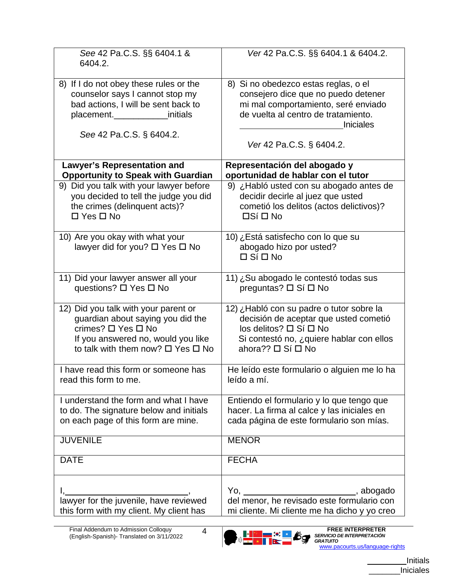| See 42 Pa.C.S. §§ 6404.1 &<br>6404.2.                                                                                                                                                     | Ver 42 Pa.C.S. §§ 6404.1 & 6404.2.                                                                                                                                                                        |
|-------------------------------------------------------------------------------------------------------------------------------------------------------------------------------------------|-----------------------------------------------------------------------------------------------------------------------------------------------------------------------------------------------------------|
| 8) If I do not obey these rules or the<br>counselor says I cannot stop my<br>bad actions, I will be sent back to<br>placement. <b>_______________initials</b><br>See 42 Pa.C.S. § 6404.2. | 8) Si no obedezco estas reglas, o el<br>consejero dice que no puedo detener<br>mi mal comportamiento, seré enviado<br>de vuelta al centro de tratamiento.<br><b>Iniciales</b><br>Ver 42 Pa.C.S. § 6404.2. |
| <b>Lawyer's Representation and</b>                                                                                                                                                        | Representación del abogado y                                                                                                                                                                              |
| <b>Opportunity to Speak with Guardian</b>                                                                                                                                                 | oportunidad de hablar con el tutor                                                                                                                                                                        |
| 9) Did you talk with your lawyer before                                                                                                                                                   | 9) ¿Habló usted con su abogado antes de                                                                                                                                                                   |
| you decided to tell the judge you did                                                                                                                                                     | decidir decirle al juez que usted                                                                                                                                                                         |
| the crimes (delinquent acts)?                                                                                                                                                             | cometió los delitos (actos delictivos)?                                                                                                                                                                   |
| $\Box$ Yes $\Box$ No                                                                                                                                                                      | <b>□Sí</b> □ No                                                                                                                                                                                           |
| 10) Are you okay with what your<br>lawyer did for you? $\square$ Yes $\square$ No                                                                                                         | 10) ¿Está satisfecho con lo que su<br>abogado hizo por usted?<br>$\Box$ Sí $\Box$ No                                                                                                                      |
| 11) Did your lawyer answer all your                                                                                                                                                       | 11) ¿Su abogado le contestó todas sus                                                                                                                                                                     |
| questions? □ Yes □ No                                                                                                                                                                     | preguntas? □ Sí □ No                                                                                                                                                                                      |
| 12) Did you talk with your parent or                                                                                                                                                      | 12) ¿Habló con su padre o tutor sobre la                                                                                                                                                                  |
| guardian about saying you did the                                                                                                                                                         | decisión de aceptar que usted cometió                                                                                                                                                                     |
| crimes? □ Yes □ No                                                                                                                                                                        | $\log$ delitos? $\Box$ Sí $\Box$ No                                                                                                                                                                       |
| If you answered no, would you like                                                                                                                                                        | Si contestó no, ¿quiere hablar con ellos                                                                                                                                                                  |
| to talk with them now? $\Box$ Yes $\Box$ No                                                                                                                                               | ahora?? □ Sí □ No                                                                                                                                                                                         |
| I have read this form or someone has                                                                                                                                                      | He leído este formulario o alguien me lo ha                                                                                                                                                               |
| read this form to me.                                                                                                                                                                     | leído a mí.                                                                                                                                                                                               |
| I understand the form and what I have                                                                                                                                                     | Entiendo el formulario y lo que tengo que                                                                                                                                                                 |
| to do. The signature below and initials                                                                                                                                                   | hacer. La firma al calce y las iniciales en                                                                                                                                                               |
| on each page of this form are mine.                                                                                                                                                       | cada página de este formulario son mías.                                                                                                                                                                  |
| <b>JUVENILE</b>                                                                                                                                                                           | <b>MENOR</b>                                                                                                                                                                                              |
| <b>DATE</b>                                                                                                                                                                               | <b>FECHA</b>                                                                                                                                                                                              |
|                                                                                                                                                                                           | Yo, _______________________, abogado<br>del menor, he revisado este formulario con                                                                                                                        |
| this form with my client. My client has                                                                                                                                                   | mi cliente. Mi cliente me ha dicho y yo creo                                                                                                                                                              |